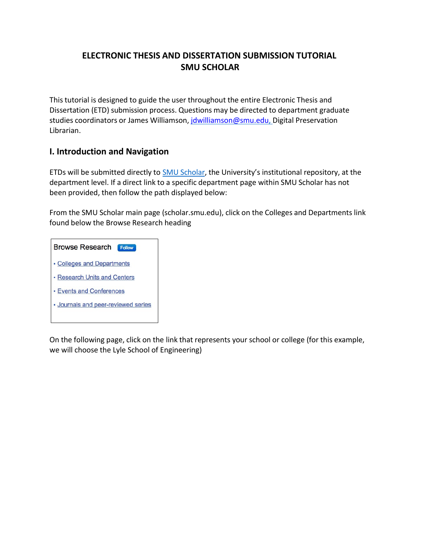# **ELECTRONIC THESIS AND DISSERTATION SUBMISSION TUTORIAL SMU SCHOLAR**

This tutorial is designed to guide the user throughout the entire Electronic Thesis and Dissertation (ETD) submission process. Questions may be directed to department graduate studies coordinators or James Williamson, [jdwilliamson@smu.edu,](mailto:jdwilliamson@smu.edu) Digital Preservation Librarian.

#### **I. Introduction and Navigation**

ETDs will be submitted directly to SMU [Scholar,](http://scholar.smu.edu/) the University's institutional repository, at the department level. If a direct link to a specific department page within SMU Scholar has not been provided, then follow the path displayed below:

From the SMU Scholar main page (scholar.smu.edu), click on the Colleges and Departments link found below the Browse Research heading

| <b>Browse Research</b><br>Follow  |
|-----------------------------------|
| Colleges and Departments          |
| <b>Research Units and Centers</b> |
| · Events and Conferences          |
| Journals and peer-reviewed series |
|                                   |

On the following page, click on the link that represents your school or college (for this example, we will choose the Lyle School of Engineering)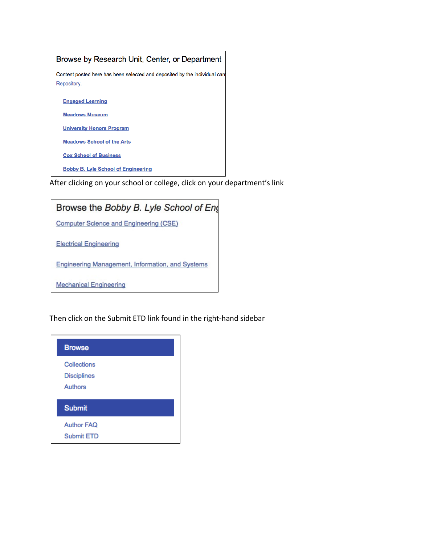

After clicking on your school or college, click on your department's link



Then click on the Submit ETD link found in the right-hand sidebar

| <b>Browse</b>                                |  |
|----------------------------------------------|--|
| Collections<br><b>Disciplines</b><br>Authors |  |
| <b>Submit</b>                                |  |
| <b>Author FAQ</b><br><b>Submit ETD</b>       |  |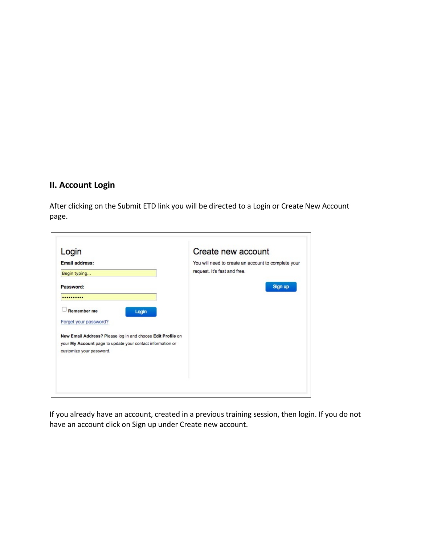## **II. Account Login**

After clicking on the Submit ETD link you will be directed to a Login or Create New Account page.

| Login                                                       | Create new account                                  |
|-------------------------------------------------------------|-----------------------------------------------------|
| <b>Email address:</b>                                       | You will need to create an account to complete your |
| Begin typing                                                | request. It's fast and free.                        |
| Password:                                                   | Sign up                                             |
|                                                             |                                                     |
| <b>Remember me</b><br>Login                                 |                                                     |
| Forget your password?                                       |                                                     |
| New Email Address? Please log in and choose Edit Profile on |                                                     |
| your My Account page to update your contact information or  |                                                     |
| customize your password.                                    |                                                     |
|                                                             |                                                     |
|                                                             |                                                     |

If you already have an account, created in a previous training session, then login. If you do not have an account click on Sign up under Create new account.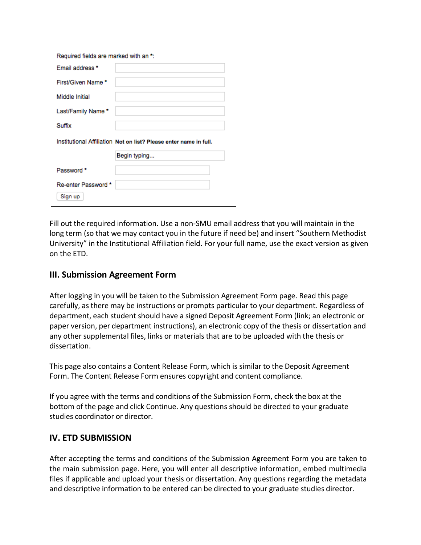| Required fields are marked with an *:                             |
|-------------------------------------------------------------------|
| Email address *                                                   |
| First/Given Name *                                                |
| Middle Initial                                                    |
| Last/Family Name *                                                |
|                                                                   |
| Suffix                                                            |
| Institutional Affiliation Not on list? Please enter name in full. |
| Begin typing                                                      |
| Password *                                                        |

Fill out the required information. Use a non-SMU email address that you will maintain in the long term (so that we may contact you in the future if need be) and insert "Southern Methodist University" in the Institutional Affiliation field. For your full name, use the exact version as given on the ETD.

### **III. Submission Agreement Form**

After logging in you will be taken to the Submission Agreement Form page. Read this page carefully, asthere may be instructions or prompts particular to your department. Regardless of department, each student should have a signed Deposit Agreement Form (link; an electronic or paper version, per department instructions), an electronic copy of the thesis or dissertation and any other supplemental files, links or materials that are to be uploaded with the thesis or dissertation.

This page also contains a Content Release Form, which is similar to the Deposit Agreement Form. The Content Release Form ensures copyright and content compliance.

If you agree with the terms and conditions of the Submission Form, check the box at the bottom of the page and click Continue. Any questions should be directed to your graduate studies coordinator or director.

#### **IV. ETD SUBMISSION**

After accepting the terms and conditions of the Submission Agreement Form you are taken to the main submission page. Here, you will enter all descriptive information, embed multimedia files if applicable and upload your thesis or dissertation. Any questions regarding the metadata and descriptive information to be entered can be directed to your graduate studies director.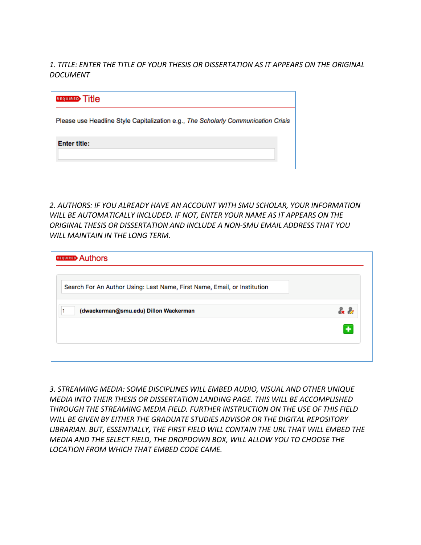*1. TITLE: ENTER THE TITLE OF YOUR THESIS OR DISSERTATION AS IT APPEARS ON THE ORIGINAL DOCUMENT*

| <b>REQUIRED Title</b>                                                             |
|-----------------------------------------------------------------------------------|
| Please use Headline Style Capitalization e.g., The Scholarly Communication Crisis |
| <b>Enter title:</b>                                                               |

*2. AUTHORS: IF YOU ALREADY HAVE AN ACCOUNT WITH SMU SCHOLAR, YOUR INFORMATION WILL BE AUTOMATICALLY INCLUDED. IF NOT, ENTER YOUR NAME AS IT APPEARS ON THE ORIGINAL THESIS OR DISSERTATION AND INCLUDE A NON-SMU EMAIL ADDRESS THAT YOU WILL MAINTAIN IN THE LONG TERM.*

| Search For An Author Using: Last Name, First Name, Email, or Institution |           |
|--------------------------------------------------------------------------|-----------|
| (dwackerman@smu.edu) Dillon Wackerman                                    | $\lambda$ |
|                                                                          | ٠         |

*3. STREAMING MEDIA: SOME DISCIPLINES WILL EMBED AUDIO, VISUAL AND OTHER UNIQUE MEDIA INTO THEIR THESIS OR DISSERTATION LANDING PAGE. THIS WILL BE ACCOMPLISHED THROUGH THE STREAMING MEDIA FIELD. FURTHER INSTRUCTION ON THE USE OF THIS FIELD WILL BE GIVEN BY EITHER THE GRADUATE STUDIES ADVISOR OR THE DIGITAL REPOSITORY LIBRARIAN. BUT, ESSENTIALLY, THE FIRST FIELD WILL CONTAIN THE URL THAT WILL EMBED THE MEDIA AND THE SELECT FIELD, THE DROPDOWN BOX, WILL ALLOW YOU TO CHOOSE THE LOCATION FROM WHICH THAT EMBED CODE CAME.*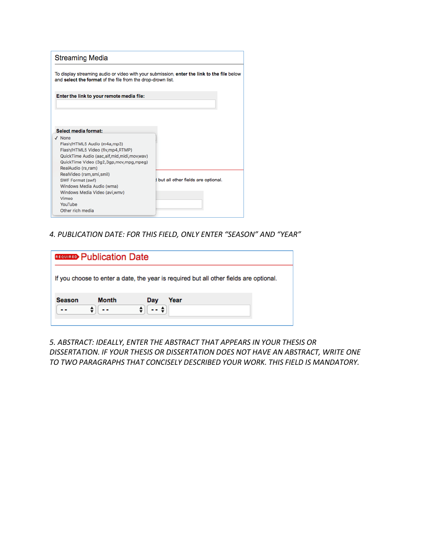| <b>Streaming Media</b>                                                                                                                                                                                                                                                                                                                                                            |                                      |
|-----------------------------------------------------------------------------------------------------------------------------------------------------------------------------------------------------------------------------------------------------------------------------------------------------------------------------------------------------------------------------------|--------------------------------------|
| To display streaming audio or video with your submission, enter the link to the file below<br>and select the format of the file from the drop-drown list.                                                                                                                                                                                                                         |                                      |
| Enter the link to your remote media file:                                                                                                                                                                                                                                                                                                                                         |                                      |
| Select media format:<br>$\sqrt{N}$ None<br>Flash/HTML5 Audio (m4a,mp3)<br>Flash/HTML5 Video (flv,mp4,RTMP)<br>QuickTime Audio (aac,aif,mid,midi,mov,wav)<br>QuickTime Video (3g2,3gp,mov,mpg,mpeg)<br>RealAudio (ra,ram)<br>RealVideo (ram, smi, smil)<br>SWF Format (swf)<br>Windows Media Audio (wma)<br>Windows Media Video (avi, wmv)<br>Vimeo<br>YouTube<br>Other rich media | I but all other fields are optional. |

*4. PUBLICATION DATE: FOR THIS FIELD, ONLY ENTER "SEASON" AND "YEAR"*

|        | <b>REQUIRED</b> Publication Date |                                                                                        |  |
|--------|----------------------------------|----------------------------------------------------------------------------------------|--|
|        |                                  | If you choose to enter a date, the year is required but all other fields are optional. |  |
| Season | <b>Month</b>                     | Year<br>Day                                                                            |  |

*5. ABSTRACT: IDEALLY, ENTER THE ABSTRACT THAT APPEARS IN YOUR THESIS OR DISSERTATION. IF YOUR THESIS OR DISSERTATION DOES NOT HAVE AN ABSTRACT, WRITE ONE TO TWO PARAGRAPHS THAT CONCISELY DESCRIBED YOUR WORK. THIS FIELD IS MANDATORY.*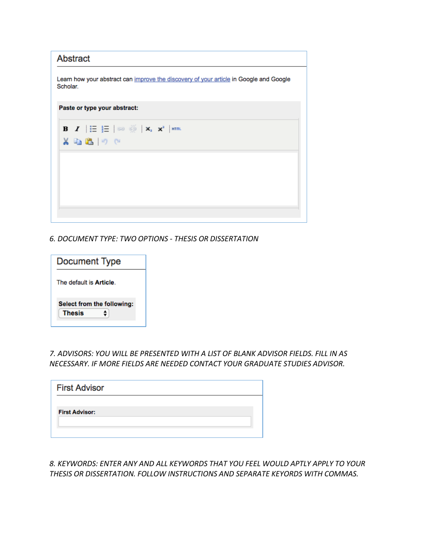| Abstract |                              |                                                                                                        |  |                                                                                        |
|----------|------------------------------|--------------------------------------------------------------------------------------------------------|--|----------------------------------------------------------------------------------------|
| Scholar. |                              |                                                                                                        |  | Learn how your abstract can improve the discovery of your article in Google and Google |
|          | Paste or type your abstract: |                                                                                                        |  |                                                                                        |
|          | $X = B \cup C$               | <b>B</b> $I$ $ \mathbf{\Xi}  \mathbf{\Xi}  \approx \frac{36}{28}   \mathbf{x}_i   \mathbf{x}^i  $ html |  |                                                                                        |
|          |                              |                                                                                                        |  |                                                                                        |
|          |                              |                                                                                                        |  |                                                                                        |
|          |                              |                                                                                                        |  |                                                                                        |

*6. DOCUMENT TYPE: TWO OPTIONS - THESIS OR DISSERTATION*

| <b>Document Type</b>                        |  |
|---------------------------------------------|--|
| The default is Article.                     |  |
| Select from the following:<br><b>Thesis</b> |  |

*7. ADVISORS: YOU WILL BE PRESENTED WITH A LIST OF BLANK ADVISOR FIELDS. FILL IN AS NECESSARY. IF MORE FIELDS ARE NEEDED CONTACT YOUR GRADUATE STUDIES ADVISOR.*

| <b>First Advisor</b>  |  |  |
|-----------------------|--|--|
| <b>First Advisor:</b> |  |  |
|                       |  |  |

*8. KEYWORDS: ENTER ANY AND ALL KEYWORDS THAT YOU FEEL WOULD APTLY APPLY TO YOUR THESIS OR DISSERTATION. FOLLOW INSTRUCTIONS AND SEPARATE KEYORDS WITH COMMAS.*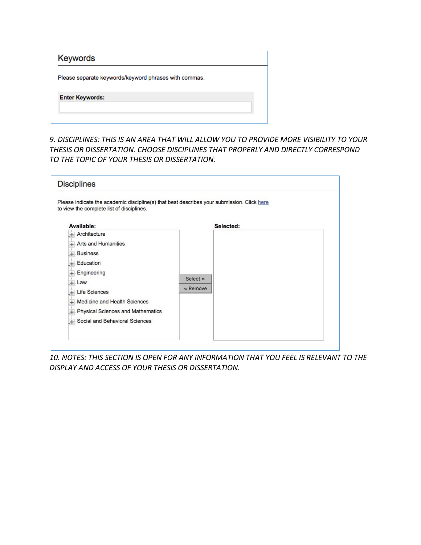| Keywords                                              |
|-------------------------------------------------------|
| Please separate keywords/keyword phrases with commas. |
| <b>Enter Keywords:</b>                                |
|                                                       |

*9. DISCIPLINES: THIS IS AN AREA THAT WILL ALLOW YOU TO PROVIDE MORE VISIBILITY TO YOUR THESIS OR DISSERTATION. CHOOSE DISCIPLINES THAT PROPERLY AND DIRECTLY CORRESPOND TO THE TOPIC OF YOUR THESIS OR DISSERTATION.*

| Please indicate the academic discipline(s) that best describes your submission. Click here<br>to view the complete list of disciplines.                                                                            |                      |           |  |
|--------------------------------------------------------------------------------------------------------------------------------------------------------------------------------------------------------------------|----------------------|-----------|--|
| Available:<br>+ Architecture<br>+ Arts and Humanities<br>$+$ Business<br>$+$ Education<br>Engineering<br>÷.<br>$+$ Law<br>+ Life Sciences<br>+ Medicine and Health Sciences<br>+ Physical Sciences and Mathematics | Select »<br>« Remove | Selected: |  |

*10. NOTES: THIS SECTION IS OPEN FOR ANY INFORMATION THAT YOU FEEL IS RELEVANT TO THE DISPLAY AND ACCESS OF YOUR THESIS OR DISSERTATION.*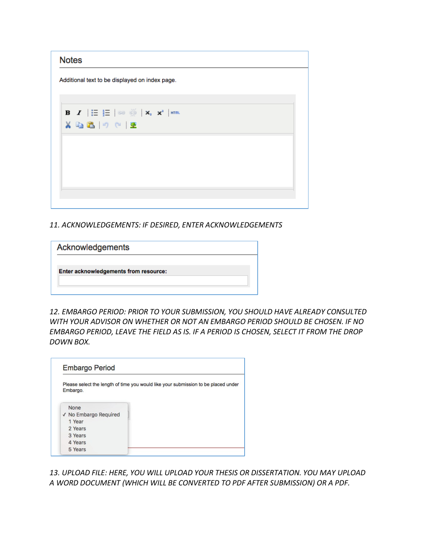| <b>Notes</b> |                                                |                                                                                                              |  |  |
|--------------|------------------------------------------------|--------------------------------------------------------------------------------------------------------------|--|--|
|              | Additional text to be displayed on index page. |                                                                                                              |  |  |
|              |                                                |                                                                                                              |  |  |
|              | メモ出り(『圣                                        | <b>B</b> $I$ $ \mathbf{\Xi}  \mathbf{\Xi}  \approx \frac{35}{22}  \mathbf{x}_i  \mathbf{x}^2$   $\mathbf{m}$ |  |  |
|              |                                                |                                                                                                              |  |  |
|              |                                                |                                                                                                              |  |  |
|              |                                                |                                                                                                              |  |  |
|              |                                                |                                                                                                              |  |  |

*11. ACKNOWLEDGEMENTS: IF DESIRED, ENTER ACKNOWLEDGEMENTS*

| Acknowledgements                      |  |  |
|---------------------------------------|--|--|
| Enter acknowledgements from resource: |  |  |
|                                       |  |  |
|                                       |  |  |

*12. EMBARGO PERIOD: PRIOR TO YOUR SUBMISSION, YOU SHOULD HAVE ALREADY CONSULTED WITH YOUR ADVISOR ON WHETHER OR NOT AN EMBARGO PERIOD SHOULD BE CHOSEN. IF NO EMBARGO PERIOD, LEAVE THE FIELD AS IS. IF A PERIOD IS CHOSEN, SELECT IT FROM THE DROP DOWN BOX.*

| Embargo.              | Please select the length of time you would like your submission to be placed under |
|-----------------------|------------------------------------------------------------------------------------|
|                       |                                                                                    |
| None                  |                                                                                    |
| √ No Embargo Required |                                                                                    |
| 1 Year                |                                                                                    |
|                       |                                                                                    |
| 2 Years               |                                                                                    |
| 3 Years               |                                                                                    |
| 4 Years               |                                                                                    |

*13. UPLOAD FILE: HERE, YOU WILL UPLOAD YOUR THESIS OR DISSERTATION. YOU MAY UPLOAD A WORD DOCUMENT (WHICH WILL BE CONVERTED TO PDF AFTER SUBMISSION) OR A PDF.*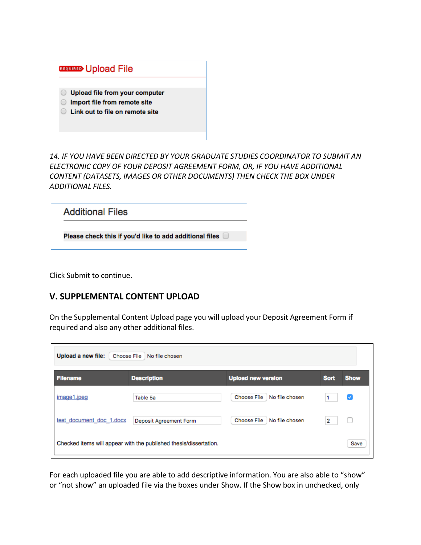| <b>REQUIRED</b> Upload File                                                                       |
|---------------------------------------------------------------------------------------------------|
| Upload file from your computer<br>Import file from remote site<br>Link out to file on remote site |

*14. IF YOU HAVE BEEN DIRECTED BY YOUR GRADUATE STUDIES COORDINATOR TO SUBMIT AN ELECTRONIC COPY OF YOUR DEPOSIT AGREEMENT FORM, OR, IF YOU HAVE ADDITIONAL CONTENT (DATASETS, IMAGES OR OTHER DOCUMENTS) THEN CHECK THE BOX UNDER ADDITIONAL FILES.*

| <b>Additional Files</b>                                 |  |
|---------------------------------------------------------|--|
| Please check this if you'd like to add additional files |  |

Click Submit to continue.

## **V. SUPPLEMENTAL CONTENT UPLOAD**

On the Supplemental Content Upload page you will upload your Deposit Agreement Form if required and also any other additional files.

| <b>Filename</b>          | <b>Description</b>     | <b>Upload new version</b>     | <b>Sort</b> | <b>Show</b> |
|--------------------------|------------------------|-------------------------------|-------------|-------------|
| image1.jpeg              | Table 5a               | No file chosen<br>Choose File |             | ✓           |
| test document doc 1.docx | Deposit Agreement Form | No file chosen<br>Choose File | 2           |             |

For each uploaded file you are able to add descriptive information. You are also able to "show" or "not show" an uploaded file via the boxes under Show. If the Show box in unchecked, only